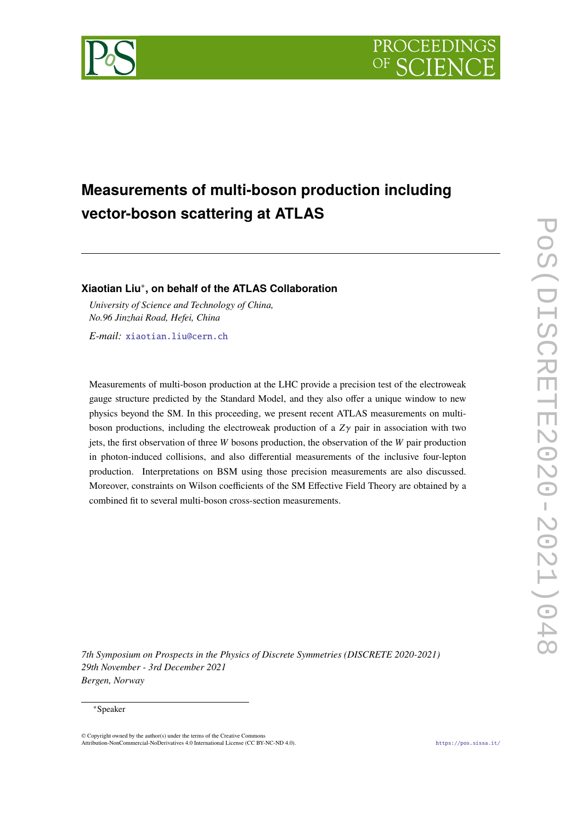

# **Measurements of multi-boson production including vector-boson scattering at ATLAS**

# **Xiaotian Liu**<sup>∗</sup> **, on behalf of the ATLAS Collaboration**

*University of Science and Technology of China, No.96 Jinzhai Road, Hefei, China*

*E-mail:* [xiaotian.liu@cern.ch](mailto:xiaotian.liu@cern.ch)

Measurements of multi-boson production at the LHC provide a precision test of the electroweak gauge structure predicted by the Standard Model, and they also offer a unique window to new physics beyond the SM. In this proceeding, we present recent ATLAS measurements on multiboson productions, including the electroweak production of a  $Z\gamma$  pair in association with two jets, the first observation of three  $W$  bosons production, the observation of the  $W$  pair production in photon-induced collisions, and also differential measurements of the inclusive four-lepton production. Interpretations on BSM using those precision measurements are also discussed. Moreover, constraints on Wilson coefficients of the SM Effective Field Theory are obtained by a combined fit to several multi-boson cross-section measurements.

*7th Symposium on Prospects in the Physics of Discrete Symmetries (DISCRETE 2020-2021) 29th November - 3rd December 2021 Bergen, Norway*

### <sup>∗</sup>Speaker

© Copyright owned by the author(s) under the terms of the Creative Commons Attribution-NonCommercial-NoDerivatives 4.0 International License (CC BY-NC-ND 4.0). <https://pos.sissa.it/>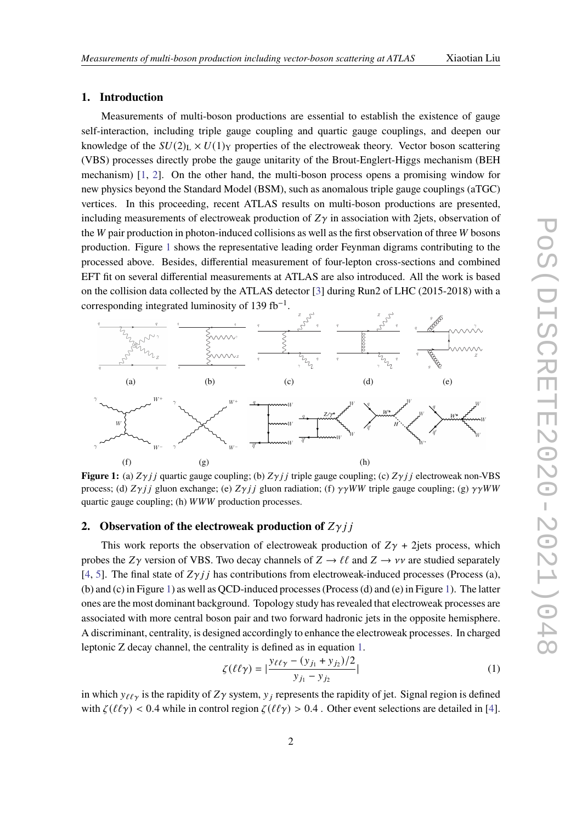# **1. Introduction**

Measurements of multi-boson productions are essential to establish the existence of gauge self-interaction, including triple gauge coupling and quartic gauge couplings, and deepen our knowledge of the  $SU(2)_L \times U(1)_Y$  properties of the electroweak theory. Vector boson scattering (VBS) processes directly probe the gauge unitarity of the Brout-Englert-Higgs mechanism (BEH mechanism) [\[1,](#page-5-0) [2\]](#page-5-1). On the other hand, the multi-boson process opens a promising window for new physics beyond the Standard Model (BSM), such as anomalous triple gauge couplings (aTGC) vertices. In this proceeding, recent ATLAS results on multi-boson productions are presented, including measurements of electroweak production of  $Z\gamma$  in association with 2jets, observation of the  $W$  pair production in photon-induced collisions as well as the first observation of three  $W$  bosons production. Figure [1](#page-1-0) shows the representative leading order Feynman digrams contributing to the processed above. Besides, differential measurement of four-lepton cross-sections and combined EFT fit on several differential measurements at ATLAS are also introduced. All the work is based on the collision data collected by the ATLAS detector [\[3\]](#page-5-2) during Run2 of LHC (2015-2018) with a corresponding integrated luminosity of 139 fb<sup>-1</sup>.

<span id="page-1-0"></span>

**Figure 1:** (a)  $Z\gamma j j$  quartic gauge coupling; (b)  $Z\gamma j j$  triple gauge coupling; (c)  $Z\gamma j j$  electroweak non-VBS process; (d)  $Z\gamma j j$  gluon exchange; (e)  $Z\gamma j j$  gluon radiation; (f)  $\gamma\gamma WW$  triple gauge coupling; (g)  $\gamma\gamma WW$ quartic gauge coupling; (h) WWW production processes.

# **2.** Observation of the electroweak production of  $Z\gamma jj$

This work reports the observation of electroweak production of  $Z\gamma$  + 2 jets process, which probes the Z $\gamma$  version of VBS. Two decay channels of  $Z \to \ell \ell$  and  $Z \to \nu \nu$  are studied separately [\[4,](#page-5-3) [5\]](#page-5-4). The final state of  $Z\gamma j j$  has contributions from electroweak-induced processes (Process (a), (b) and (c) in Figure [1\)](#page-1-0) as well as QCD-induced processes (Process (d) and (e) in Figure [1\)](#page-1-0). The latter ones are the most dominant background. Topology study has revealed that electroweak processes are associated with more central boson pair and two forward hadronic jets in the opposite hemisphere. A discriminant, centrality, is designed accordingly to enhance the electroweak processes. In charged leptonic Z decay channel, the centrality is defined as in equation [1.](#page-1-1)

<span id="page-1-1"></span>
$$
\zeta(\ell\ell\gamma) = |\frac{y_{\ell\ell\gamma} - (y_{j_1} + y_{j_2})/2}{y_{j_1} - y_{j_2}}|
$$
\n(1)

in which  $y_{\ell\ell\gamma}$  is the rapidity of  $Z\gamma$  system,  $y_i$  represents the rapidity of jet. Signal region is defined with  $\zeta(\ell\ell\gamma) < 0.4$  while in control region  $\zeta(\ell\ell\gamma) > 0.4$ . Other event selections are detailed in [\[4\]](#page-5-3).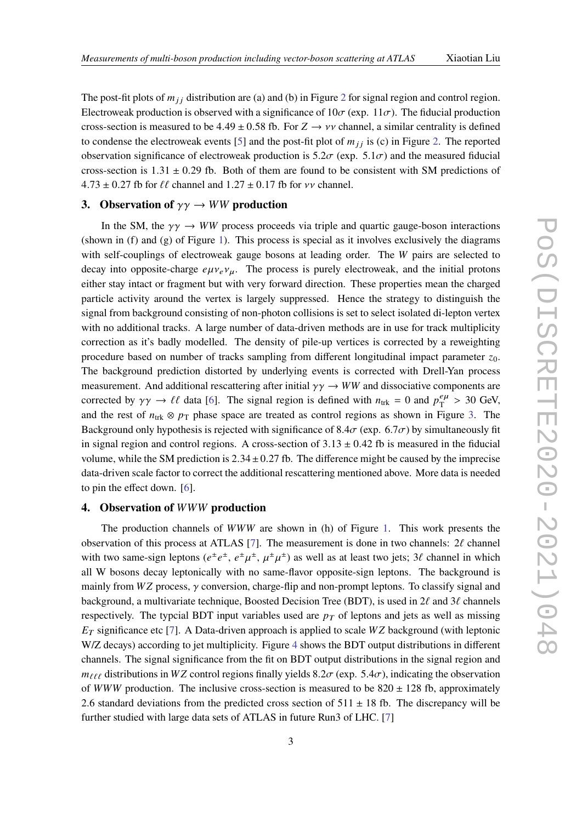The post-fit plots of  $m_{ij}$  distribution are (a) and (b) in Figure [2](#page-3-0) for signal region and control region. Electroweak production is observed with a significance of  $10\sigma$  (exp.  $11\sigma$ ). The fiducial production cross-section is measured to be 4.49  $\pm$  0.58 fb. For  $Z \rightarrow \nu \nu$  channel, a similar centrality is defined to condense the electroweak events [\[5\]](#page-5-4) and the post-fit plot of  $m_{ij}$  is (c) in Figure [2.](#page-3-0) The reported observation significance of electroweak production is  $5.2\sigma$  (exp.  $5.1\sigma$ ) and the measured fiducial cross-section is  $1.31 \pm 0.29$  fb. Both of them are found to be consistent with SM predictions of  $4.73 \pm 0.27$  fb for  $\ell\ell$  channel and  $1.27 \pm 0.17$  fb for vv channel.

# **3.** Observation of  $\gamma \gamma \rightarrow WW$  production

In the SM, the  $\gamma \gamma \rightarrow WW$  process proceeds via triple and quartic gauge-boson interactions (shown in (f) and (g) of Figure [1\)](#page-1-0). This process is special as it involves exclusively the diagrams with self-couplings of electroweak gauge bosons at leading order. The  $W$  pairs are selected to decay into opposite-charge  $e\mu v_e v_\mu$ . The process is purely electroweak, and the initial protons either stay intact or fragment but with very forward direction. These properties mean the charged particle activity around the vertex is largely suppressed. Hence the strategy to distinguish the signal from background consisting of non-photon collisions is set to select isolated di-lepton vertex with no additional tracks. A large number of data-driven methods are in use for track multiplicity correction as it's badly modelled. The density of pile-up vertices is corrected by a reweighting procedure based on number of tracks sampling from different longitudinal impact parameter  $z_0$ . The background prediction distorted by underlying events is corrected with Drell-Yan process measurement. And additional rescattering after initial  $\gamma \gamma \rightarrow WW$  and dissociative components are corrected by  $\gamma \gamma \to \ell \ell$  data [\[6\]](#page-5-5). The signal region is defined with  $n_{\text{trk}} = 0$  and  $p_{\text{T}}^{e\mu}$  $_{\rm T}^{e\mu} > 30$  GeV, and the rest of  $n_{\text{trk}} \otimes p_{\text{T}}$  phase space are treated as control regions as shown in Figure [3.](#page-3-1) The Background only hypothesis is rejected with significance of 8.4 $\sigma$  (exp. 6.7 $\sigma$ ) by simultaneously fit in signal region and control regions. A cross-section of  $3.13 \pm 0.42$  fb is measured in the fiducial volume, while the SM prediction is  $2.34 \pm 0.27$  fb. The difference might be caused by the imprecise data-driven scale factor to correct the additional rescattering mentioned above. More data is needed to pin the effect down. [\[6\]](#page-5-5).

# **4. Observation of WWW production**

The production channels of  $WWW$  are shown in (h) of Figure [1.](#page-1-0) This work presents the observation of this process at ATLAS [\[7\]](#page-5-6). The measurement is done in two channels:  $2\ell$  channel with two same-sign leptons  $(e^{\pm}e^{\pm}, e^{\pm}\mu^{\pm}, \mu^{\pm}\mu^{\pm})$  as well as at least two jets; 3 $\ell$  channel in which all W bosons decay leptonically with no same-flavor opposite-sign leptons. The background is mainly from  $WZ$  process,  $\gamma$  conversion, charge-flip and non-prompt leptons. To classify signal and background, a multivariate technique, Boosted Decision Tree (BDT), is used in  $2\ell$  and  $3\ell$  channels respectively. The typcial BDT input variables used are  $p<sub>T</sub>$  of leptons and jets as well as missing  $E_T$  significance etc [\[7\]](#page-5-6). A Data-driven approach is applied to scale  $WZ$  background (with leptonic W/Z decays) according to jet multiplicity. Figure [4](#page-3-2) shows the BDT output distributions in different channels. The signal significance from the fit on BDT output distributions in the signal region and  $m_{\ell\ell\ell}$  distributions in WZ control regions finally yields 8.2 $\sigma$  (exp. 5.4 $\sigma$ ), indicating the observation of WWW production. The inclusive cross-section is measured to be  $820 \pm 128$  fb, approximately 2.6 standard deviations from the predicted cross section of  $511 \pm 18$  fb. The discrepancy will be further studied with large data sets of ATLAS in future Run3 of LHC. [\[7\]](#page-5-6)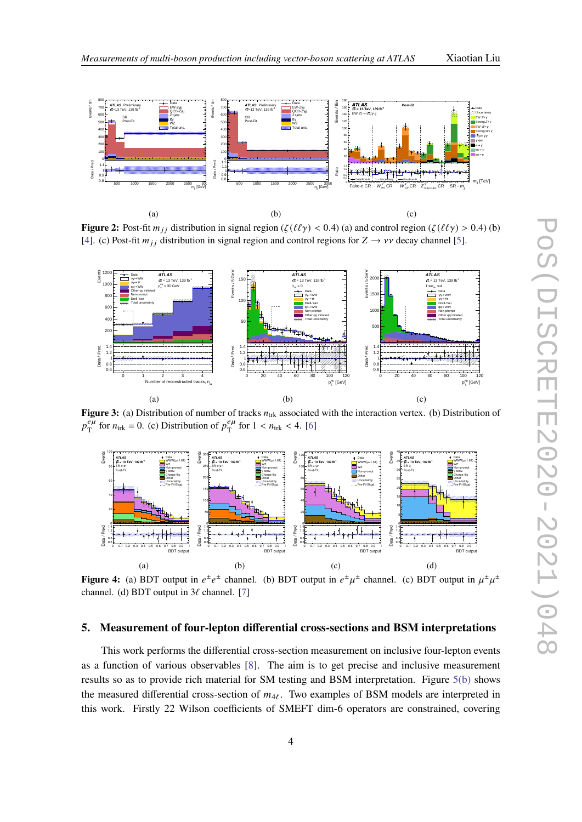<span id="page-3-0"></span>

**Figure 2:** Post-fit  $m_{ij}$  distribution in signal region ( $\zeta(\ell\ell\gamma) < 0.4$ ) (a) and control region ( $\zeta(\ell\ell\gamma) > 0.4$ ) (b) [\[4\]](#page-5-3). (c) Post-fit  $m_{ij}$  distribution in signal region and control regions for  $Z \rightarrow \nu \nu$  decay channel [\[5\]](#page-5-4).

<span id="page-3-1"></span>

**Figure 3:** (a) Distribution of number of tracks  $n_{trk}$  associated with the interaction vertex. (b) Distribution of  $v_{\infty}^{e\mu}$  $\frac{e\mu}{T}$  for  $n_{\text{trk}} = 0$ . (c) Distribution of  $p_T^{e\mu}$  $\frac{e\mu}{T}$  for 1 <  $n_{\text{trk}}$  < 4. [\[6\]](#page-5-5)

<span id="page-3-2"></span>

**Figure 4:** (a) BDT output in  $e^{\pm}e^{\pm}$  channel. (b) BDT output in  $e^{\pm}\mu^{\pm}$  channel. (c) BDT output in  $\mu^{\pm}\mu^{\pm}$ channel. (d) BDT output in  $3\ell$  channel. [\[7\]](#page-5-6)

# <span id="page-3-3"></span>**5. Measurement of four-lepton differential cross-sections and BSM interpretations**

This work performs the differential cross-section measurement on inclusive four-lepton events as a function of various observables [\[8\]](#page-5-7). The aim is to get precise and inclusive measurement results so as to provide rich material for SM testing and BSM interpretation. Figure [5\(b\)](#page-4-0) shows the measured differential cross-section of  $m_{4\ell}$ . Two examples of BSM models are interpreted in this work. Firstly 22 Wilson coefficients of SMEFT dim-6 operators are constrained, covering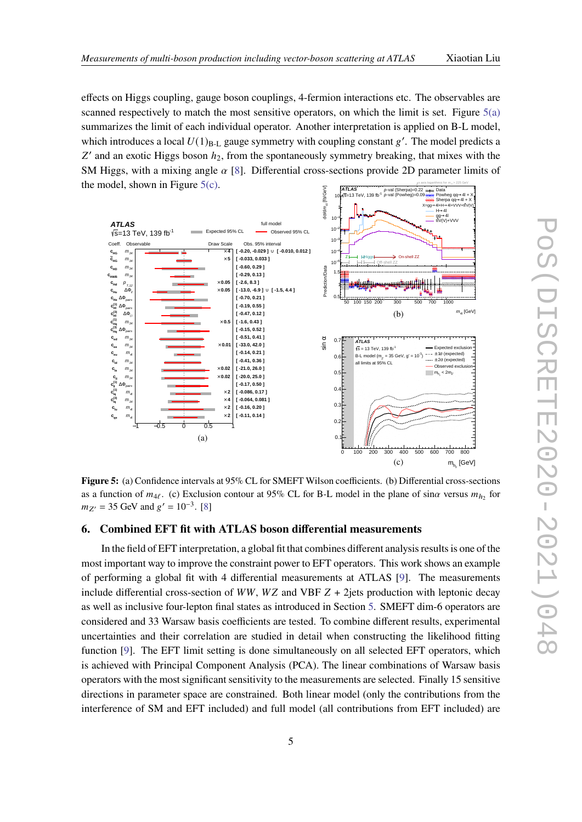effects on Higgs coupling, gauge boson couplings, 4-fermion interactions etc. The observables are scanned respectively to match the most sensitive operators, on which the limit is set. Figure [5\(a\)](#page-4-1) summarizes the limit of each individual operator. Another interpretation is applied on B-L model, which introduces a local  $U(1)_{B-L}$  gauge symmetry with coupling constant g'. The model predicts a  $Z'$  and an exotic Higgs boson  $h_2$ , from the spontaneously symmetry breaking, that mixes with the SM Higgs, with a mixing angle  $\alpha$  [\[8\]](#page-5-7). Differential cross-sections provide 2D parameter limits of the model, shown in Figure  $5(c)$ . x axis logarithmic for  $m_{41}$  > 225 GeV

<span id="page-4-1"></span><span id="page-4-0"></span>

<span id="page-4-2"></span>**Figure 5:** (a) Confidence intervals at 95% CL for SMEFT Wilson coefficients. (b) Differential cross-sections as a function of  $m_{4\ell}$ . (c) Exclusion contour at 95% CL for B-L model in the plane of sin $\alpha$  versus  $m_{h_2}$  for  $m_{Z'} = 35$  GeV and  $g' = 10^{-3}$ . [\[8\]](#page-5-7)

# **6. Combined EFT fit with ATLAS boson differential measurements**

In the field of EFT interpretation, a global fit that combines different analysis results is one of the most important way to improve the constraint power to EFT operators. This work shows an example of performing a global fit with 4 differential measurements at ATLAS [\[9\]](#page-5-8). The measurements include differential cross-section of  $WW$ ,  $WZ$  and VBF  $Z + 2$ jets production with leptonic decay as well as inclusive four-lepton final states as introduced in Section [5.](#page-3-3) SMEFT dim-6 operators are considered and 33 Warsaw basis coefficients are tested. To combine different results, experimental uncertainties and their correlation are studied in detail when constructing the likelihood fitting function [\[9\]](#page-5-8). The EFT limit setting is done simultaneously on all selected EFT operators, which is achieved with Principal Component Analysis (PCA). The linear combinations of Warsaw basis operators with the most significant sensitivity to the measurements are selected. Finally 15 sensitive directions in parameter space are constrained. Both linear model (only the contributions from the interference of SM and EFT included) and full model (all contributions from EFT included) are